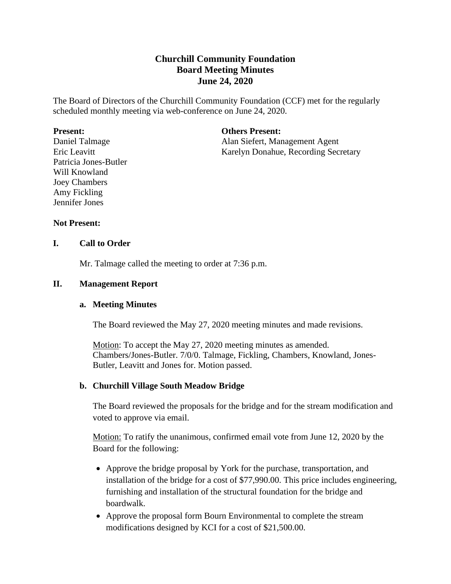# **Churchill Community Foundation Board Meeting Minutes June 24, 2020**

The Board of Directors of the Churchill Community Foundation (CCF) met for the regularly scheduled monthly meeting via web-conference on June 24, 2020.

#### **Present:**

Daniel Talmage Eric Leavitt Patricia Jones-Butler Will Knowland Joey Chambers Amy Fickling Jennifer Jones

#### **Others Present:**

Alan Siefert, Management Agent Karelyn Donahue, Recording Secretary

## **Not Present:**

#### **I. Call to Order**

Mr. Talmage called the meeting to order at 7:36 p.m.

#### **II. Management Report**

#### **a. Meeting Minutes**

The Board reviewed the May 27, 2020 meeting minutes and made revisions.

Motion: To accept the May 27, 2020 meeting minutes as amended. Chambers/Jones-Butler. 7/0/0. Talmage, Fickling, Chambers, Knowland, Jones-Butler, Leavitt and Jones for. Motion passed.

#### **b. Churchill Village South Meadow Bridge**

The Board reviewed the proposals for the bridge and for the stream modification and voted to approve via email.

Motion: To ratify the unanimous, confirmed email vote from June 12, 2020 by the Board for the following:

- Approve the bridge proposal by York for the purchase, transportation, and installation of the bridge for a cost of \$77,990.00. This price includes engineering, furnishing and installation of the structural foundation for the bridge and boardwalk.
- Approve the proposal form Bourn Environmental to complete the stream modifications designed by KCI for a cost of \$21,500.00.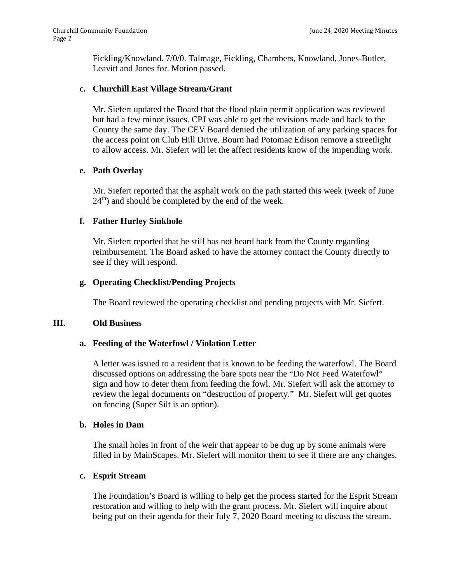Fickling/Knowland. 7/0/0. Talmage, Fickling, Chambers, Knowland, Jones-Butler, Leavitt and Jones for. Motion passed.

#### **c. Churchill East Village Stream/Grant**

Mr. Siefert updated the Board that the flood plain permit application was reviewed but had a few minor issues. CPJ was able to get the revisions made and back to the County the same day. The CEV Board denied the utilization of any parking spaces for the access point on Club Hill Drive. Bourn had Potomac Edison remove a streetlight to allow access. Mr. Siefert will let the affect residents know of the impending work.

## **e. Path Overlay**

Mr. Siefert reported that the asphalt work on the path started this week (week of June  $24<sup>th</sup>$ ) and should be completed by the end of the week.

## **f. Father Hurley Sinkhole**

Mr. Siefert reported that he still has not heard back from the County regarding reimbursement. The Board asked to have the attorney contact the County directly to see if they will respond.

## **g. Operating Checklist/Pending Projects**

The Board reviewed the operating checklist and pending projects with Mr. Siefert.

#### **III. Old Business**

#### **a. Feeding of the Waterfowl / Violation Letter**

A letter was issued to a resident that is known to be feeding the waterfowl. The Board discussed options on addressing the bare spots near the "Do Not Feed Waterfowl" sign and how to deter them from feeding the fowl. Mr. Siefert will ask the attorney to review the legal documents on "destruction of property." Mr. Siefert will get quotes on fencing (Super Silt is an option).

#### **b. Holes in Dam**

The small holes in front of the weir that appear to be dug up by some animals were filled in by MainScapes. Mr. Siefert will monitor them to see if there are any changes.

#### **c. Esprit Stream**

The Foundation's Board is willing to help get the process started for the Esprit Stream restoration and willing to help with the grant process. Mr. Siefert will inquire about being put on their agenda for their July 7, 2020 Board meeting to discuss the stream.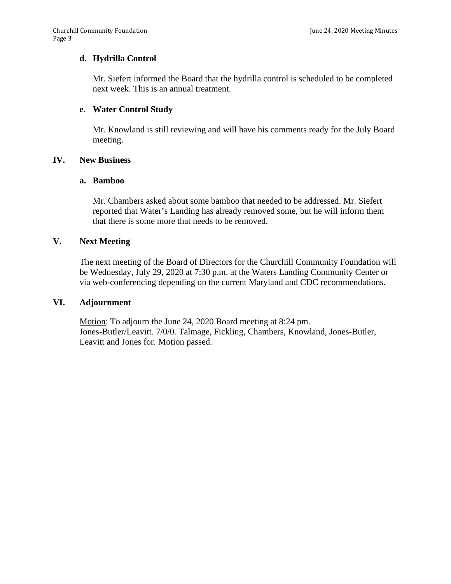#### **d. Hydrilla Control**

Mr. Siefert informed the Board that the hydrilla control is scheduled to be completed next week. This is an annual treatment.

## **e. Water Control Study**

Mr. Knowland is still reviewing and will have his comments ready for the July Board meeting.

## **IV. New Business**

#### **a. Bamboo**

Mr. Chambers asked about some bamboo that needed to be addressed. Mr. Siefert reported that Water's Landing has already removed some, but he will inform them that there is some more that needs to be removed.

#### **V. Next Meeting**

The next meeting of the Board of Directors for the Churchill Community Foundation will be Wednesday, July 29, 2020 at 7:30 p.m. at the Waters Landing Community Center or via web-conferencing depending on the current Maryland and CDC recommendations.

#### **VI. Adjournment**

Motion: To adjourn the June 24, 2020 Board meeting at 8:24 pm. Jones-Butler/Leavitt. 7/0/0. Talmage, Fickling, Chambers, Knowland, Jones-Butler, Leavitt and Jones for. Motion passed.